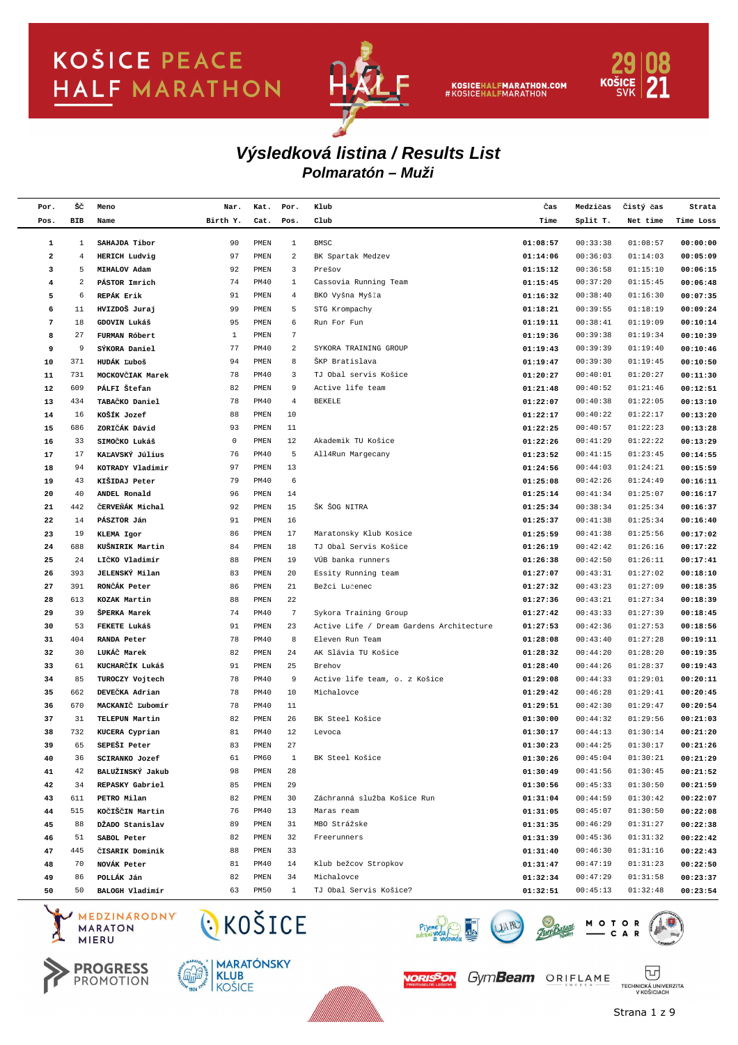

KOSICEHALFMARATHON.COM<br>#KOSICEHALFMARATHON



### **Polmaratón – Muži Výsledková listina / Results List**

| Por.        | šč             | Meno                                     | Nar.              | Kat.         | Por.                    | Klub                                     | Čas                  | Medzičas  | Čistý čas            | Strata               |
|-------------|----------------|------------------------------------------|-------------------|--------------|-------------------------|------------------------------------------|----------------------|-----------|----------------------|----------------------|
| Pos.        | <b>BIB</b>     | Name                                     | Birth Y.          | Cat.         | Pos.                    | Club                                     | Time                 | Split T.  | Net time             | Time Loss            |
| $\mathbf 1$ | $\mathbf{1}$   | SAHAJDA Tibor                            | 90                | PMEN         | 1                       | <b>BMSC</b>                              | 01:08:57             | 00:33:38  | 01:08:57             | 00:00:00             |
| $\mathbf 2$ | $\overline{4}$ | HERICH Ludvig                            | 97                | PMEN         | $\overline{\mathbf{c}}$ | BK Spartak Medzev                        | 01:14:06             | 00:36:03  | 01:14:03             | 00:05:09             |
| 3           | 5              | MIHALOV Adam                             | 92                | PMEN         | 3                       | Prešov                                   | 01:15:12             | 00:36:58  | 01:15:10             | 00:06:15             |
| 4           | 2              | PÁSTOR Imrich                            | 74                | PM40         | $\mathbf{1}$            | Cassovia Running Team                    | 01:15:45             | 00:37:20  | 01:15:45             | 00:06:48             |
| 5           | 6              | REPÁK Erik                               | 91                | PMEN         | $\overline{4}$          | BKO Vyšna Myšľa                          | 01:16:32             | 00:38:40  | 01:16:30             | 00:07:35             |
| 6           | 11             | HVIZDOŠ Juraj                            | 99                | PMEN         | 5                       | STG Krompachy                            | 01:18:21             | 00:39:55  | 01:18:19             | 00:09:24             |
| $\sqrt{7}$  | 18             | GDOVIN Lukáš                             | 95                | PMEN         | 6                       | Run For Fun                              | 01:19:11             | 00:38:41  | 01:19:09             | 00:10:14             |
|             | 27             |                                          | $\mathbf{1}$      | PMEN         | 7                       |                                          |                      | 00:39:38  | 01:19:34             |                      |
| 8           | 9              | FURMAN Róbert                            | 77                | PM40         | $\,2$                   | SYKORA TRAINING GROUP                    | 01:19:36             | 00:39:39  |                      | 00:10:39             |
| 9<br>10     | 371            | SÝKORA Daniel<br>HUDÁK Ľuboš             | 94                | PMEN         | 8                       | ŠKP Bratislava                           | 01:19:43             | 00:39:30  | 01:19:40<br>01:19:45 | 00:10:46             |
| 11          | 731            | MOCKOVČIAK Marek                         | 78                | PM40         | 3                       | TJ Obal servis Košice                    | 01:19:47<br>01:20:27 | 00:40:01  | 01:20:27             | 00:10:50<br>00:11:30 |
| 12          | 609            | PÁLFI Štefan                             | 82                | PMEN         | 9                       | Active life team                         | 01:21:48             | 00:40:52  | 01:21:46             | 00:12:51             |
|             | 434            | TABAČKO Daniel                           | 78                | <b>PM40</b>  | $\overline{4}$          | <b>BEKELE</b>                            |                      | 00:40:38  | 01:22:05             |                      |
| 13          | 16             |                                          |                   |              |                         |                                          | 01:22:07             |           |                      | 00:13:10             |
| 14          |                | KOŠÍK Jozef                              | 88                | PMEN         | 10                      |                                          | 01:22:17             | 00:40:22  | 01:22:17             | 00:13:20             |
| 15          | 686            | ZORIČÁK Dávid                            | 93<br>$\mathsf 0$ | PMEN<br>PMEN | 11<br>12                | Akademik TU Košice                       | 01:22:25             | 00:40:57  | 01:22:23<br>01:22:22 | 00:13:28             |
| 16          | 33             | SIMOČKO Lukáš                            |                   |              |                         |                                          | 01:22:26             | 00:41:29  |                      | 00:13:29             |
| 17          | 17             | KAĽAVSKÝ Július                          | 76                | <b>PM40</b>  | 5                       | All4Run Margecany                        | 01:23:52             | 00:41:15  | 01:23:45             | 00:14:55             |
| 18          | 94             | KOTRADY Vladimir                         | 97                | PMEN         | 13                      |                                          | 01:24:56             | 00:44:03  | 01:24:21             | 00:15:59             |
| 19          | 43             | KIŠIDAJ Peter                            | 79                | <b>PM40</b>  | 6                       |                                          | 01:25:08             | 00:42:26  | 01:24:49             | 00:16:11             |
| 20          | 40             | ANDEL Ronald                             | 96                | PMEN         | 14                      |                                          | 01:25:14             | 00:41:34  | 01:25:07             | 00:16:17             |
| 21          | 442            | ČERVEŇÁK Michal                          | 92                | PMEN         | 15                      | ŠK ŠOG NITRA                             | 01:25:34             | 00:38:34  | 01:25:34             | 00:16:37             |
| 22          | 14             | PÁSZTOR Ján                              | 91                | PMEN         | 16                      |                                          | 01:25:37             | 00:41:38  | 01:25:34             | 00:16:40             |
| 23          | 19             | KLEMA Igor                               | 86                | PMEN         | 17                      | Maratonsky Klub Kosice                   | 01:25:59             | 00:41:38  | 01:25:56             | 00:17:02             |
| 24          | 688            | KUŠNIRIK Martin                          | 84                | PMEN         | 18                      | TJ Obal Servis Košice                    | 01:26:19             | 00:42:42  | 01:26:16             | 00:17:22             |
| 25          | 24             | LIČKO Vladimír                           | 88                | PMEN         | 19                      | VÚB banka runners                        | 01:26:38             | 00:42:50  | 01:26:11             | 00:17:41             |
| 26          | 393            | <b>JELENSKÝ Milan</b>                    | 83                | PMEN         | 20                      | Essity Running team                      | 01:27:07             | 00:43:31  | 01:27:02             | 00:18:10             |
| 27          | 391            | RONCÁK Peter                             | 86                | PMEN         | 21                      | Bežci Lučenec                            | 01:27:32             | 00:43:23  | 01:27:09             | 00:18:35             |
| 28          | 613            | KOZAK Martin                             | 88                | PMEN         | 22                      |                                          | 01:27:36             | 00:43:21  | 01:27:34             | 00:18:39             |
| 29          | 39             | ŠPERKA Marek                             | 74                | <b>PM40</b>  | $7\phantom{.0}$         | Sykora Training Group                    | 01:27:42             | 00:43:33  | 01:27:39             | 00:18:45             |
| 30          | 53             | FEKETE Lukáš                             | 91                | PMEN         | 23                      | Active Life / Dream Gardens Architecture | 01:27:53             | 00:42:36  | 01:27:53             | 00:18:56             |
| 31          | 404            | <b>RANDA Peter</b>                       | 78                | <b>PM40</b>  | 8                       | Eleven Run Team                          | 01:28:08             | 00:43:40  | 01:27:28             | 00:19:11             |
| 32          | 30             | LUKÁČ Marek                              | 82                | PMEN         | 24                      | AK Slávia TU Košice                      | 01:28:32             | 00:44:20  | 01:28:20             | 00:19:35             |
| 33          | 61             | KUCHARČÍK Lukáš                          | 91                | PMEN         | 25                      | Brehov                                   | 01:28:40             | 00:44:26  | 01:28:37             | 00:19:43             |
| 34          | 85             | TUROCZY Vojtech                          | 78                | <b>PM40</b>  | 9                       | Active life team, o. z Košice            | 01:29:08             | 00:44:33  | 01:29:01             | 00:20:11             |
| 35          | 662            | DEVEČKA Adrian                           | 78                | <b>PM40</b>  | 10                      | Michalovce                               | 01:29:42             | 00:46:28  | 01:29:41             | 00:20:45             |
| 36          | 670            | MACKANIČ Ľubomír                         | 78                | PM40         | 11                      |                                          | 01:29:51             | 00:42:30  | 01:29:47             | 00:20:54             |
| 37          | 31             | TELEPUN Martin                           | 82                | PMEN         | 26                      | BK Steel Košice                          | 01:30:00             | 00:44:32  | 01:29:56             | 00:21:03             |
| 38          | 732            | KUCERA Cyprian                           | 81                | <b>PM40</b>  | 12                      | Levoca                                   | 01:30:17             | 00:44:13  | 01:30:14             | 00:21:20             |
| 39          | 65             | SEPEŠI Peter                             | 83                | PMEN         | 27                      |                                          | 01:30:23             | 00:44:25  | 01:30:17             | 00:21:26             |
| 40          | 36             | SCIRANKO Jozef                           | 61                | PM60         | 1                       | BK Steel Košice                          | 01:30:26             | 00:45:04  | 01:30:21             | 00:21:29             |
| 41          | 42             | BALUŽINSKÝ Jakub                         | 98                | PMEN         | 28                      |                                          | 01:30:49             | 00:41:56  | 01:30:45             | 00:21:52             |
| 42          | 34             | REPASKY Gabriel                          | 85                | PMEN         | 29                      |                                          | 01:30:56             | 00:45:33  | 01:30:50             | 00:21:59             |
| 43          | 611            | PETRO Milan                              | 82                | PMEN         | 30                      | Záchranná služba Košice Run              | 01:31:04             | 00:44:59  | 01:30:42             | 00:22:07             |
| 44          | 515            | KOČIŠČIN Martin                          | 76                | <b>PM40</b>  | 13                      | Maras ream                               | 01:31:05             | 00:45:07  | 01:30:50             | 00:22:08             |
| 45          | 88             | DŽADO Stanislav                          | 89                | PMEN         | 31                      | MBO Strážske                             | 01:31:35             | 00:46:29  | 01:31:27             | 00:22:38             |
| 46          | 51             | SABOL Peter                              | 82                | PMEN         | 32                      | Freerunners                              | 01:31:39             | 00:45:36  | 01:31:32             | 00:22:42             |
| 47          | 445            | <b>CISARIK</b> Dominik                   | 88                | PMEN         | 33                      |                                          | 01:31:40             | 00:46:30  | 01:31:16             | 00:22:43             |
| 48          | 70             | NOVÁK Peter                              | 81                | PM40         | 14                      | Klub bežcov Stropkov                     | 01:31:47             | 00:47:19  | 01:31:23             | 00:22:50             |
| 49          | 86             | POLLÁK Ján                               | 82                | PMEN         | 34                      | Michalovce                               | 01:32:34             | 00:47:29  | 01:31:58             | 00:23:37             |
| 50          | 50             | BALOGH Vladimír                          | 63                | <b>PM50</b>  | $\mathbf{1}$            | TJ Obal Servis Košice?                   | 01:32:51             | 00:45:13  | 01:32:48             | 00:23:54             |
|             |                | MEDZINARODNY<br><b>MARATON</b><br>$E$ DH | CKOŠICE           |              |                         |                                          |                      | $M O T O$ |                      |                      |











冚

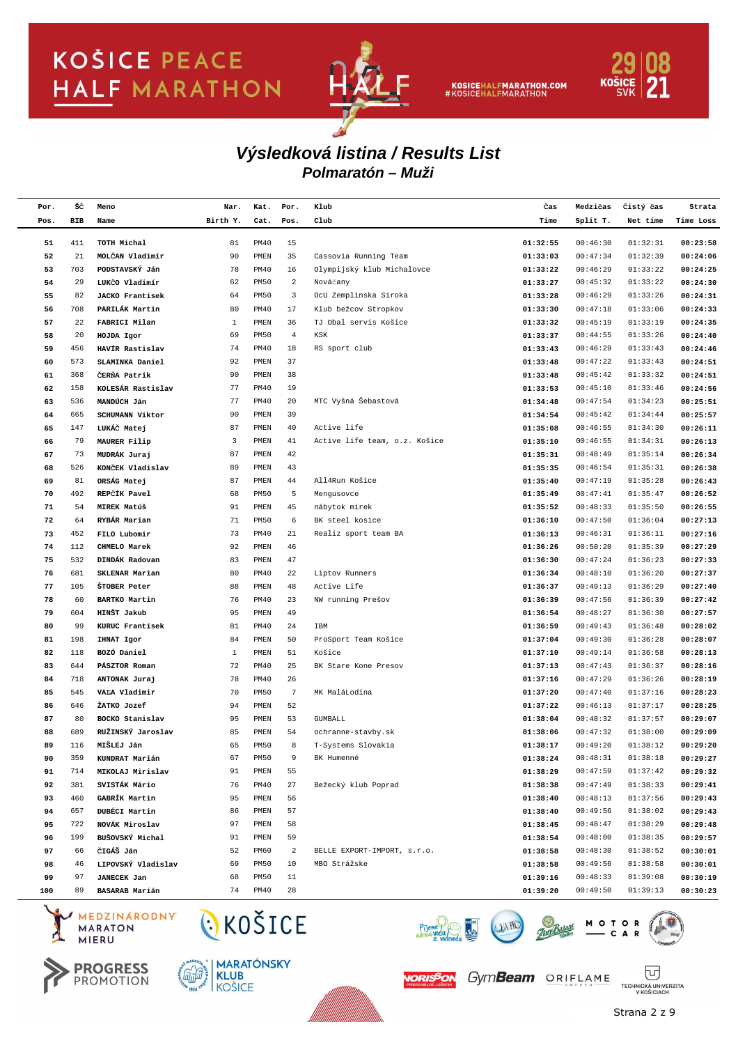

KOSICEHALFMARATHON.COM<br>#KOSICEHALFMARATHON



### **Polmaratón – Muži Výsledková listina / Results List**

| Por. | šč  | Meno                   | Nar.         | Kat.         | Por.            | Klub                          | Čas      | Medzičas | Čistý čas | Strata    |
|------|-----|------------------------|--------------|--------------|-----------------|-------------------------------|----------|----------|-----------|-----------|
| Pos. | BIB | Name                   | Birth Y.     | Cat.         | Pos.            | Club                          | Time     | Split T. | Net time  | Time Loss |
|      |     |                        |              |              |                 |                               |          |          |           |           |
| 51   | 411 | TOTH Michal            | 81           | <b>PM40</b>  | 15              |                               | 01:32:55 | 00:46:30 | 01:32:31  | 00:23:58  |
| 52   | 21  | MOLČAN Vladimír        | 90           | PMEN         | 35              | Cassovia Running Team         | 01:33:03 | 00:47:34 | 01:32:39  | 00:24:06  |
| 53   | 703 | PODSTAVSKÝ Ján         | 78           | PM40         | 16              | Olympijský klub Michalovce    | 01:33:22 | 00:46:29 | 01:33:22  | 00:24:25  |
| 54   | 29  | LUKČO Vladimír         | 62           | <b>PM50</b>  | $\overline{c}$  | Nováčany                      | 01:33:27 | 00:45:32 | 01:33:22  | 00:24:30  |
| 55   | 82  | <b>JACKO Frantisek</b> | 64           | <b>PM50</b>  | 3               | OcU Zemplinska Siroka         | 01:33:28 | 00:46:29 | 01:33:26  | 00:24:31  |
| 56   | 708 | PARILÁK Martin         | 80           | PM40         | 17              | Klub bežcov Stropkov          | 01:33:30 | 00:47:18 | 01:33:06  | 00:24:33  |
| 57   | 22  | FABRICI Milan          | $\mathbf{1}$ | PMEN         | 36              | TJ Obal servis Košice         | 01:33:32 | 00:45:19 | 01:33:19  | 00:24:35  |
| 58   | 20  | HOJDA Igor             | 69           | <b>PM50</b>  | $\overline{4}$  | KSK                           | 01:33:37 | 00:44:55 | 01:33:26  | 00:24:40  |
| 59   | 456 | HAVÍR Rastislav        | 74           | <b>PM40</b>  | 18              | RS sport club                 | 01:33:43 | 00:46:29 | 01:33:43  | 00:24:46  |
| 60   | 573 | SLAMINKA Daniel        | 92           | PMEN         | 37              |                               | 01:33:48 | 00:47:22 | 01:33:43  | 00:24:51  |
| 61   | 368 | ČERŇA Patrik           | 90           | PMEN         | 38              |                               | 01:33:48 | 00:45:42 | 01:33:32  | 00:24:51  |
| 62   | 158 | KOLESÁR Rastislav      | 77           | PM40         | 19              |                               | 01:33:53 | 00:45:10 | 01:33:46  | 00:24:56  |
| 63   | 536 | MANDÚCH Ján            | 77           | PM40         | 20              | MTC Vyšná Šebastová           | 01:34:48 | 00:47:54 | 01:34:23  | 00:25:51  |
| 64   | 665 | SCHUMANN Viktor        | 90           | PMEN         | 39              |                               | 01:34:54 | 00:45:42 | 01:34:44  | 00:25:57  |
| 65   | 147 | LUKÁČ Matej            | 87           | PMEN         | 40              | Active life                   | 01:35:08 | 00:46:55 | 01:34:30  | 00:26:11  |
| 66   | 79  | MAURER Filip           | 3            | PMEN         | 41              | Active life team, o.z. Košice | 01:35:10 | 00:46:55 | 01:34:31  | 00:26:13  |
| 67   | 73  | MUDRÁK Juraj           | 87           | PMEN         | 42              |                               | 01:35:31 | 00:48:49 | 01:35:14  | 00:26:34  |
| 68   | 526 | KONČEK Vladislav       | 89           | PMEN         | 43              |                               | 01:35:35 | 00:46:54 | 01:35:31  | 00:26:38  |
| 69   | 81  | ORSÁG Matej            | 87           | PMEN         | 44              | All4Run Košice                | 01:35:40 | 00:47:19 | 01:35:28  | 00:26:43  |
| 70   | 492 | REPČÍK Pavel           | 68           | <b>PM50</b>  | 5               | Mengusovce                    | 01:35:49 | 00:47:41 | 01:35:47  | 00:26:52  |
| 71   | 54  | MIREK Matúš            | 91           | PMEN         | 45              | nábytok mirek                 | 01:35:52 | 00:48:33 | 01:35:50  | 00:26:55  |
| 72   | 64  | RYBÁR Marian           | 71           | <b>PM50</b>  | 6               | BK steel kosice               | 01:36:10 | 00:47:50 | 01:36:04  | 00:27:13  |
| 73   | 452 | FILO Lubomir           | 73           | PM40         | 21              | Realiz sport team BA          | 01:36:13 | 00:46:31 | 01:36:11  | 00:27:16  |
| 74   | 112 | CHMELO Marek           | 92           | PMEN         | 46              |                               | 01:36:26 | 00:50:20 | 01:35:39  | 00:27:29  |
| 75   | 532 | DINDÁK Radovan         | 83           | PMEN         | 47              |                               | 01:36:30 | 00:47:24 | 01:36:23  | 00:27:33  |
| 76   | 681 | SKLENAR Marian         | 80           | PM40         | 22              | Liptov Runners                | 01:36:34 | 00:48:10 | 01:36:20  | 00:27:37  |
| 77   | 105 | ŠTOBER Peter           | 88           | PMEN         | 48              | Active Life                   | 01:36:37 | 00:49:13 | 01:36:29  | 00:27:40  |
| 78   | 60  | BARTKO Martin          | 76           | PM40         | 23              | NW running Prešov             | 01:36:39 | 00:47:56 | 01:36:39  | 00:27:42  |
| 79   | 604 | HINŠT Jakub            | 95           | PMEN         | 49              |                               | 01:36:54 | 00:48:27 | 01:36:30  | 00:27:57  |
| 80   | 99  | KURUC Frantisek        | 81           | PM40         | 24              | IBM                           | 01:36:59 | 00:49:43 | 01:36:48  | 00:28:02  |
| 81   | 198 | IHNAT Igor             | 84           | PMEN         | 50              | ProSport Team Košice          | 01:37:04 | 00:49:30 | 01:36:28  | 00:28:07  |
| 82   | 118 | BOZÓ Daniel            | 1            | PMEN         | 51              | Košice                        | 01:37:10 | 00:49:14 | 01:36:58  | 00:28:13  |
| 83   | 644 | PÁSZTOR Roman          | 72           | <b>PM40</b>  | 25              | BK Stare Kone Presov          | 01:37:13 | 00:47:43 | 01:36:37  | 00:28:16  |
| 84   | 718 | ANTONAK Juraj          | 78           | PM40         | 26              |                               | 01:37:16 | 00:47:29 | 01:36:26  | 00:28:19  |
| 85   | 545 | VALA Vladimir          | 70           | <b>PM50</b>  | $7\phantom{.0}$ | MK MaláLodina                 | 01:37:20 | 00:47:40 | 01:37:16  | 00:28:23  |
| 86   | 646 | ŽATKO Jozef            | 94           | PMEN         | 52              |                               | 01:37:22 | 00:46:13 | 01:37:17  | 00:28:25  |
| 87   | 80  | BOCKO Stanislav        | 95           | PMEN         | 53              | <b>GUMBALL</b>                | 01:38:04 | 00:48:32 | 01:37:57  | 00:29:07  |
| 88   | 689 | RUŽINSKÝ Jaroslav      | 85           | PMEN         | 54              | ochranne-stavby.sk            | 01:38:06 | 00:47:32 | 01:38:00  | 00:29:09  |
| 89   | 116 | MIŠLEJ Ján             | 65           | <b>PM50</b>  | 8               | T-Systems Slovakia            | 01:38:17 | 00:49:20 | 01:38:12  | 00:29:20  |
| 90   | 359 | KUNDRAT Marián         | 67           | PM50         | 9               | BK Humenné                    | 01:38:24 | 00:48:31 | 01:38:18  | 00:29:27  |
| 91   | 714 | MIKOLAJ Mirislav       | 91           | PMEN         | 55              |                               | 01:38:29 | 00:47:59 | 01:37:42  | 00:29:32  |
| 92   | 381 | SVISTÁK Mário          | 76           | PM40         | 27              | Bežecký klub Poprad           | 01:38:38 | 00:47:49 | 01:38:33  | 00:29:41  |
| 93   | 460 | GABRÍK Martin          | 95           | PMEN         | 56              |                               | 01:38:40 | 00:48:13 | 01:37:56  | 00:29:43  |
| 94   | 657 | DUBÉCI Martin          | 86           | PMEN         | 57              |                               | 01:38:40 | 00:49:56 | 01:38:02  | 00:29:43  |
| 95   | 722 | NOVÁK Miroslav         | 97           | PMEN         | 58              |                               | 01:38:45 | 00:48:47 | 01:38:29  | 00:29:48  |
| 96   | 199 | BUŠOVSKÝ Michal        | 91           | ${\tt PMEN}$ | 59              |                               | 01:38:54 | 00:48:00 | 01:38:35  | 00:29:57  |
| 97   | 66  | ČIGÁŠ Ján              | 52           | PM60         | 2               | BELLE EXPORT-IMPORT, s.r.o.   | 01:38:58 | 00:48:30 | 01:38:52  | 00:30:01  |
| 98   | 46  | LIPOVSKÝ Vladislav     | 69           | <b>PM50</b>  | 10              | MBO Strážske                  | 01:38:58 | 00:49:56 | 01:38:58  | 00:30:01  |
| 99   | 97  | <b>JANECEK Jan</b>     | 68           | <b>PM50</b>  | 11              |                               | 01:39:16 | 00:48:33 | 01:39:08  | 00:30:19  |
| 100  | 89  | BASARAB Marián         | 74           | <b>PM40</b>  | 28              |                               | 01:39:20 | 00:49:50 | 01:39:13  | 00:30:23  |
|      |     |                        |              |              |                 |                               |          |          |           |           |







CKOŠICE





ORISSON GymBeam ORIFLAME

Piy

冚 TECHNICKÁ UNIVERZITA<br>V KOŠICIACH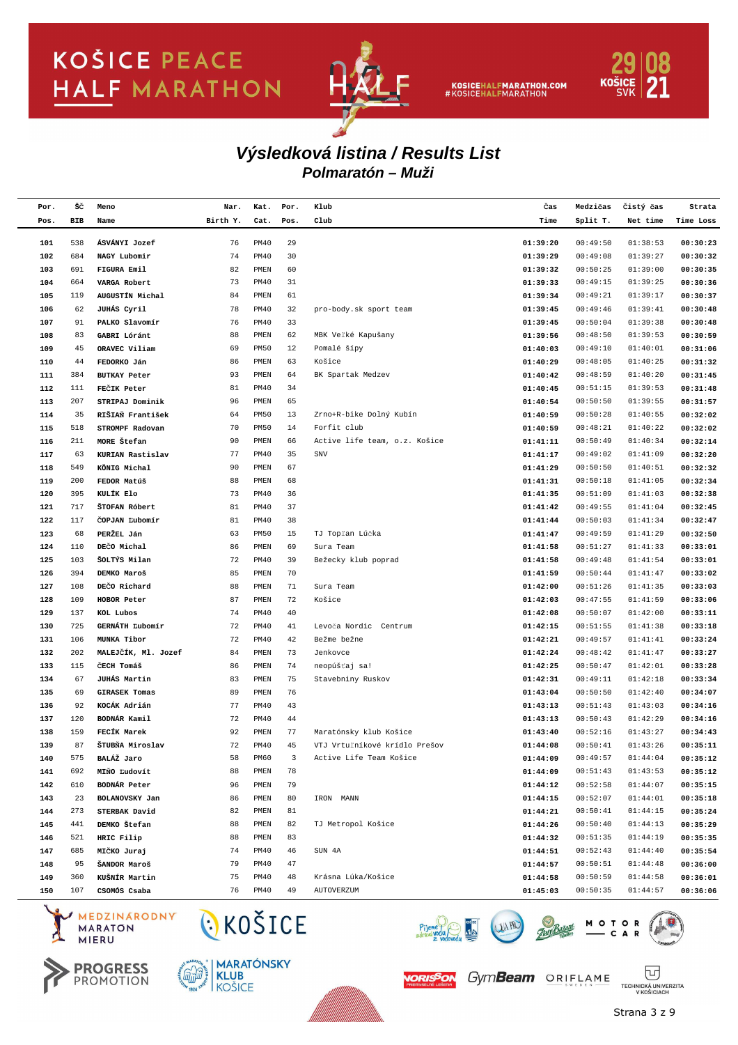

KOSICEHALFMARATHON.COM<br>#KOSICEHALFMARATHON



#### **Polmaratón – Muži Výsledková listina / Results List**

| Por. | šč  | Meno                 | Nar.     | Kat.         | Por. | Klub                          | Čas      | Medzičas | Čistý čas | Strata    |
|------|-----|----------------------|----------|--------------|------|-------------------------------|----------|----------|-----------|-----------|
| Pos. | BIB | Name                 | Birth Y. | Cat.         | Pos. | Club                          | Time     | Split T. | Net time  | Time Loss |
|      |     |                      |          |              |      |                               |          |          |           |           |
| 101  | 538 | ÁSVÁNYI Jozef        | 76       | PM40         | 29   |                               | 01:39:20 | 00:49:50 | 01:38:53  | 00:30:23  |
| 102  | 684 | NAGY Lubomir         | 74       | PM40         | 30   |                               | 01:39:29 | 00:49:08 | 01:39:27  | 00:30:32  |
| 103  | 691 | FIGURA Emil          | 82       | PMEN         | 60   |                               | 01:39:32 | 00:50:25 | 01:39:00  | 00:30:35  |
| 104  | 664 | VARGA Robert         | 73       | PM40         | 31   |                               | 01:39:33 | 00:49:15 | 01:39:25  | 00:30:36  |
| 105  | 119 | AUGUSTÍN Michal      | 84       | PMEN         | 61   |                               | 01:39:34 | 00:49:21 | 01:39:17  | 00:30:37  |
| 106  | 62  | JUHÁS Cyril          | 78       | PM40         | 32   | pro-body.sk sport team        | 01:39:45 | 00:49:46 | 01:39:41  | 00:30:48  |
| 107  | 91  | PALKO Slavomír       | 76       | <b>PM40</b>  | 33   |                               | 01:39:45 | 00:50:04 | 01:39:38  | 00:30:48  |
| 108  | 83  | GABRI Lóránt         | 88       | PMEN         | 62   | MBK Veľké Kapušany            | 01:39:56 | 00:48:50 | 01:39:53  | 00:30:59  |
| 109  | 45  | ORAVEC Viliam        | 69       | PM50         | 12   | Pomalé šípy                   | 01:40:03 | 00:49:10 | 01:40:01  | 00:31:06  |
| 110  | 44  | FEDORKO Ján          | 86       | PMEN         | 63   | Košice                        | 01:40:29 | 00:48:05 | 01:40:25  | 00:31:32  |
| 111  | 384 | <b>BUTKAY Peter</b>  | 93       | PMEN         | 64   | BK Spartak Medzev             | 01:40:42 | 00:48:59 | 01:40:20  | 00:31:45  |
| 112  | 111 | FECIK Peter          | 81       | PM40         | 34   |                               | 01:40:45 | 00:51:15 | 01:39:53  | 00:31:48  |
| 113  | 207 | STRIPAJ Dominik      | 96       | PMEN         | 65   |                               | 01:40:54 | 00:50:50 | 01:39:55  | 00:31:57  |
| 114  | 35  | RIŠIAŇ František     | 64       | <b>PM50</b>  | 13   | Zrno+R-bike Dolný Kubín       | 01:40:59 | 00:50:28 | 01:40:55  | 00:32:02  |
| 115  | 518 | STROMPF Radovan      | 70       | <b>PM50</b>  | 14   | Forfit club                   | 01:40:59 | 00:48:21 | 01:40:22  | 00:32:02  |
| 116  | 211 | MORE Štefan          | 90       | PMEN         | 66   | Active life team, o.z. Košice | 01:41:11 | 00:50:49 | 01:40:34  | 00:32:14  |
| 117  | 63  | KURIAN Rastislav     | 77       | <b>PM40</b>  | 35   | SNV                           | 01:41:17 | 00:49:02 | 01:41:09  | 00:32:20  |
| 118  | 549 | KÖNIG Michal         | 90       | PMEN         | 67   |                               | 01:41:29 | 00:50:50 | 01:40:51  | 00:32:32  |
| 119  | 200 | FEDOR Matúš          | 88       | PMEN         | 68   |                               | 01:41:31 | 00:50:18 | 01:41:05  | 00:32:34  |
| 120  | 395 | KULÍK Elo            | 73       | PM40         | 36   |                               | 01:41:35 | 00:51:09 | 01:41:03  | 00:32:38  |
| 121  | 717 | ŠTOFAN Róbert        | 81       | PM40         | 37   |                               | 01:41:42 | 00:49:55 | 01:41:04  | 00:32:45  |
| 122  | 117 | COPJAN Ľubomír       | 81       | PM40         | 38   |                               | 01:41:44 | 00:50:03 | 01:41:34  | 00:32:47  |
| 123  | 68  | PERŽEL Ján           | 63       | <b>PM50</b>  | 15   | TJ Topľan Lúčka               | 01:41:47 | 00:49:59 | 01:41:29  | 00:32:50  |
| 124  | 110 | DEČO Michal          | 86       | PMEN         | 69   | Sura Team                     | 01:41:58 | 00:51:27 | 01:41:33  | 00:33:01  |
| 125  | 103 | ŠOLTÝS Milan         | 72       | PM40         | 39   | Bežecky klub poprad           | 01:41:58 | 00:49:48 | 01:41:54  | 00:33:01  |
| 126  | 394 | DEMKO Maroš          | 85       | PMEN         | 70   |                               | 01:41:59 | 00:50:44 | 01:41:47  | 00:33:02  |
| 127  | 108 | DEČO Richard         | 88       | PMEN         | 71   | Sura Team                     | 01:42:00 | 00:51:26 | 01:41:35  | 00:33:03  |
| 128  | 109 | HOBOR Peter          | 87       | PMEN         | 72   | Košice                        | 01:42:03 | 00:47:55 | 01:41:59  | 00:33:06  |
| 129  | 137 | KOL Lubos            | 74       | PM40         | 40   |                               | 01:42:08 | 00:50:07 | 01:42:00  | 00:33:11  |
| 130  | 725 | GERNÁTH Ľubomír      | 72       | PM40         | 41   | Levoča Nordic Centrum         | 01:42:15 | 00:51:55 | 01:41:38  | 00:33:18  |
| 131  | 106 | MUNKA Tibor          | 72       | PM40         | 42   | Bežme bežne                   | 01:42:21 | 00:49:57 | 01:41:41  | 00:33:24  |
| 132  | 202 | MALEJČÍK, Ml. Jozef  | 84       | PMEN         | 73   | Jenkovce                      | 01:42:24 | 00:48:42 | 01:41:47  | 00:33:27  |
| 133  | 115 | ČECH Tomáš           | 86       | PMEN         | 74   | neopúšťaj sa!                 | 01:42:25 | 00:50:47 | 01:42:01  | 00:33:28  |
| 134  | 67  | JUHÁS Martin         | 83       | PMEN         | 75   | Stavebniny Ruskov             | 01:42:31 | 00:49:11 | 01:42:18  | 00:33:34  |
| 135  | 69  | <b>GIRASEK Tomas</b> | 89       | PMEN         | 76   |                               | 01:43:04 | 00:50:50 | 01:42:40  | 00:34:07  |
| 136  | 92  | KOCÁK Adrián         | 77       | PM40         | 43   |                               | 01:43:13 | 00:51:43 | 01:43:03  | 00:34:16  |
| 137  | 120 | BODNÁR Kamil         | 72       | PM40         | 44   |                               | 01:43:13 | 00:50:43 | 01:42:29  | 00:34:16  |
| 138  | 159 | FECIK Marek          | 92       | PMEN         | 77   | Maratónsky klub Košice        | 01:43:40 | 00:52:16 | 01:43:27  | 00:34:43  |
| 139  | 87  | ŠTUBŇA Miroslav      | 72       | PM40         | 45   | VTJ Vrtuľníkové krídlo Prešov | 01:44:08 | 00:50:41 | 01:43:26  | 00:35:11  |
| 140  | 575 | BALÁŽ Jaro           | 58       | PM60         | 3    | Active Life Team Košice       | 01:44:09 | 00:49:57 | 01:44:04  | 00:35:12  |
| 141  | 692 | MINO Ľudovít         | 88       | ${\tt PMEN}$ | 78   |                               | 01:44:09 | 00:51:43 | 01:43:53  | 00:35:12  |
| 142  | 610 | BODNÁR Peter         | 96       | ${\tt PMEN}$ | 79   |                               | 01:44:12 | 00:52:58 | 01:44:07  | 00:35:15  |
| 143  | 23  | BOLANOVSKY Jan       | 86       | ${\tt PMEN}$ | 80   | IRON MANN                     | 01:44:15 | 00:52:07 | 01:44:01  | 00:35:18  |
| 144  | 273 | STERBAK David        | 82       | PMEN         | 81   |                               | 01:44:21 | 00:50:41 | 01:44:15  | 00:35:24  |
| 145  | 441 | DEMKO Štefan         | 88       | ${\tt PMEN}$ | 82   | TJ Metropol Košice            | 01:44:26 | 00:50:40 | 01:44:13  | 00:35:29  |
| 146  | 521 | HRIC Filip           | 88       | ${\tt PMEN}$ | 83   |                               | 01:44:32 | 00:51:35 | 01:44:19  | 00:35:35  |
| 147  | 685 | MIČKO Juraj          | 74       | <b>PM40</b>  | 46   | SUN 4A                        | 01:44:51 | 00:52:43 | 01:44:40  | 00:35:54  |
| 148  | 95  | ŠANDOR Maroš         | 79       | PM40         | 47   |                               | 01:44:57 | 00:50:51 | 01:44:48  | 00:36:00  |
| 149  | 360 | KUŠNÍR Martin        | 75       | PM40         | 48   | Krásna Lúka/Košice            | 01:44:58 | 00:50:59 | 01:44:58  | 00:36:01  |
| 150  | 107 | CSOMÓS Csaba         | 76       | <b>PM40</b>  | 49   | AUTOVERZUM                    | 01:45:03 | 00:50:35 | 01:44:57  | 00:36:06  |
|      |     |                      |          |              |      |                               |          |          |           |           |







CKOŠICE





冚

TECHNICKÁ UNIVERZITA<br>V KOŠICIACH

Piy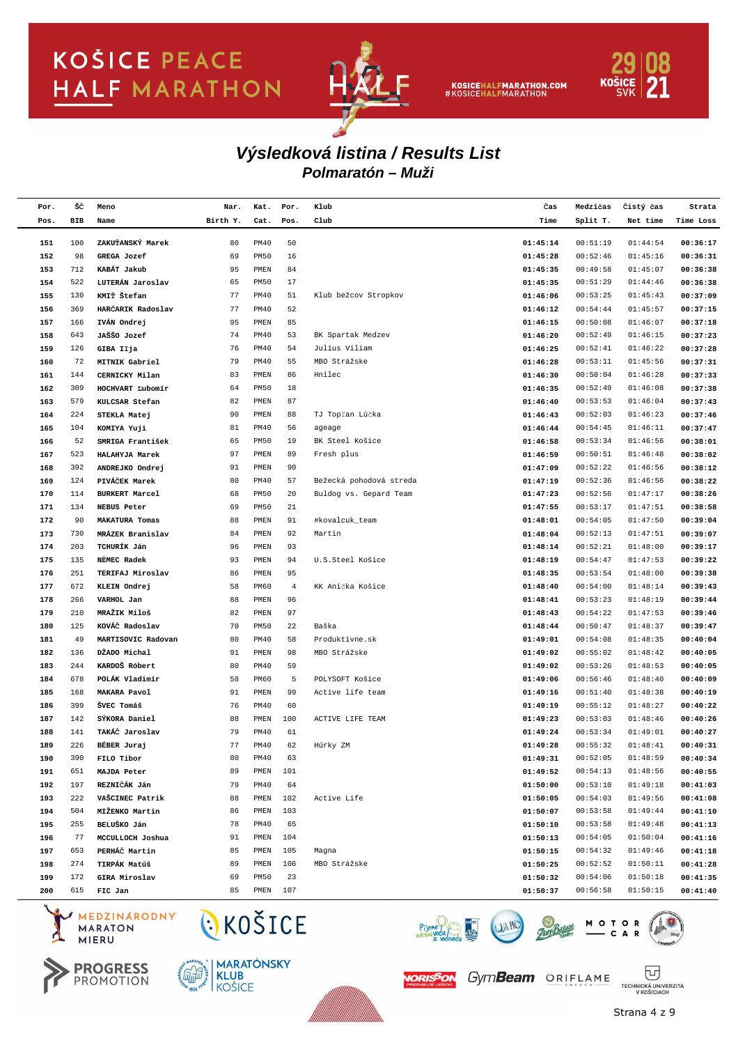

KOSICEHALFMARATHON.COM<br>#KOSICEHALFMARATHON



#### **Polmaratón – Muži Výsledková listina / Results List**

| Por.       | šč         | Meno                            | Nar.     | Kat.                       | Por.           | Klub                    | Čas                  | Medzičas             | Čistý čas            | Strata               |
|------------|------------|---------------------------------|----------|----------------------------|----------------|-------------------------|----------------------|----------------------|----------------------|----------------------|
| Pos.       | BIB        | Name                            | Birth Y. | Cat.                       | Pos.           | Club                    | Time                 | Split T.             | Net time             | Time Loss            |
|            |            | ZAKUŤANSKÝ Marek                |          |                            |                |                         |                      |                      |                      |                      |
| 151<br>152 | 100<br>98  | GREGA Jozef                     | 80<br>69 | <b>PM40</b><br><b>PM50</b> | 50<br>16       |                         | 01:45:14<br>01:45:28 | 00:51:19<br>00:52:46 | 01:44:54<br>01:45:16 | 00:36:17<br>00:36:31 |
| 153        | 712        | KABÁT Jakub                     | 95       | PMEN                       | 84             |                         | 01:45:35             | 00:49:58             | 01:45:07             | 00:36:38             |
| 154        | 522        | LUTERÁN Jaroslav                | 65       | <b>PM50</b>                | 17             |                         | 01:45:35             | 00:51:29             | 01:44:46             | 00:36:38             |
| 155        | 130        | KMIŤ Štefan                     | 77       | <b>PM40</b>                | 51             | Klub bežcov Stropkov    | 01:46:06             | 00:53:25             | 01:45:43             | 00:37:09             |
| 156        | 369        | HARCARIK Radoslav               | 77       | <b>PM40</b>                | 52             |                         | 01:46:12             | 00:54:44             | 01:45:57             | 00:37:15             |
| 157        | 166        | IVÁN Ondrej                     | 95       | PMEN                       | 85             |                         | 01:46:15             | 00:50:08             | 01:46:07             | 00:37:18             |
| 158        | 643        | JAŠŠO Jozef                     | 74       | PM40                       | 53             | BK Spartak Medzev       | 01:46:20             | 00:52:49             | 01:46:15             | 00:37:23             |
| 159        | 126        | GIBA Ilja                       | 76       | <b>PM40</b>                | 54             | Julius Viliam           | 01:46:25             | 00:52:41             | 01:46:22             | 00:37:28             |
| 160        | 72         | MITNIK Gabriel                  | 79       | PM40                       | 55             | MBO Strážske            | 01:46:28             | 00:53:11             | 01:45:56             | 00:37:31             |
| 161        | 144        | CERNICKY Milan                  | 83       | PMEN                       | 86             | Hnilec                  | 01:46:30             | 00:50:04             | 01:46:28             | 00:37:33             |
| 162        | 309        | HOCHVART Lubomír                | 64       | <b>PM50</b>                | 18             |                         | 01:46:35             | 00:52:49             | 01:46:08             | 00:37:38             |
| 163        | 579        | KULCSAR Stefan                  | 82       | PMEN                       | 87             |                         | 01:46:40             | 00:53:53             | 01:46:04             | 00:37:43             |
| 164        | 224        | STEKLA Matej                    | 90       | PMEN                       | 88             | TJ Topľan Lúčka         | 01:46:43             | 00:52:03             | 01:46:23             | 00:37:46             |
| 165        | 104        | KOMIYA Yuji                     | 81       | PM40                       | 56             | ageage                  | 01:46:44             | 00:54:45             | 01:46:11             | 00:37:47             |
| 166        | 52         | SMRIGA František                | 65       | <b>PM50</b>                | 19             | BK Steel Košice         | 01:46:58             | 00:53:34             | 01:46:56             | 00:38:01             |
| 167        | 523        | HALAHYJA Marek                  | 97       | PMEN                       | 89             | Fresh plus              | 01:46:59             | 00:50:51             | 01:46:48             | 00:38:02             |
| 168        | 392        | ANDREJKO Ondrej                 | 91       | PMEN                       | 90             |                         | 01:47:09             | 00:52:22             | 01:46:56             | 00:38:12             |
| 169        | 124        | PIVÁČEK Marek                   | 80       | PM40                       | 57             | Bežecká pohodová streda | 01:47:19             | 00:52:36             | 01:46:56             | 00:38:22             |
| 170        | 114        | <b>BURKERT Marcel</b>           | 68       | <b>PM50</b>                | 20             | Buldog vs. Gepard Team  | 01:47:23             | 00:52:56             | 01:47:17             | 00:38:26             |
| 171        | 134        | NEBUS Peter                     | 69       | <b>PM50</b>                | 21             |                         | 01:47:55             | 00:53:17             | 01:47:51             | 00:38:58             |
| 172        | 90         | <b>MAKATURA Tomas</b>           | 88       | PMEN                       | 91             | #kovalcuk_team          | 01:48:01             | 00:54:05             | 01:47:50             | 00:39:04             |
| 173        | 730        | MRÁZEK Branislav                | 84       | PMEN                       | 92             | Martin                  | 01:48:04             | 00:52:13             | 01:47:51             | 00:39:07             |
| 174        | 203        | TCHURÍK Ján                     | 96       | PMEN                       | 93             |                         | 01:48:14             | 00:52:21             | 01:48:00             | 00:39:17             |
| 175        | 135        | NEMEC Radek                     | 93       | PMEN                       | 94             | U.S.Steel Košice        | 01:48:19             | 00:54:47             | 01:47:53             | 00:39:22             |
| 176        | 251        | TERIFAJ Miroslav                | 86       | PMEN                       | 95             |                         | 01:48:35             | 00:53:54             | 01:48:00             | 00:39:38             |
| 177        | 672        | KLEIN Ondrej                    | 58       | PM60                       | $\overline{4}$ | KK Anička Košice        | 01:48:40             | 00:54:00             | 01:48:14             | 00:39:43             |
| 178        | 266        | VARHOL Jan                      | 88       | PMEN                       | 96             |                         | 01:48:41             | 00:53:23             | 01:48:19             | 00:39:44             |
| 179        | 210        | MRAŽIK Miloš                    | 82       | PMEN                       | 97             |                         | 01:48:43             | 00:54:22             | 01:47:53             | 00:39:46             |
| 180        | 125        | KOVÁČ Radoslav                  | 70       | <b>PM50</b>                | 22             | Baška                   | 01:48:44             | 00:50:47             | 01:48:37             | 00:39:47             |
| 181        | 49         | MARTISOVIC Radovan              | 80       | PM40                       | 58             | Produktivne.sk          | 01:49:01             | 00:54:08             | 01:48:35             | 00:40:04             |
| 182        | 136        | DŽADO Michal                    | 91       | PMEN                       | 98             | MBO Strážske            | 01:49:02             | 00:55:02             | 01:48:42             | 00:40:05             |
| 183        | 244        | KARDOŠ Róbert                   | 80       | PM40                       | 59             |                         | 01:49:02             | 00:53:26             | 01:48:53             | 00:40:05             |
| 184        | 678        | POLÁK Vladimír                  | 58       | PM60                       | 5              | POLYSOFT Košice         | 01:49:06             | 00:56:46             | 01:48:40             | 00:40:09             |
| 185        | 168        | MAKARA Pavol                    | 91       | PMEN                       | 99             | Active life team        | 01:49:16             | 00:51:40             | 01:48:38             | 00:40:19             |
| 186        | 399        | ŠVEC Tomáš                      | 76<br>88 | <b>PM40</b>                | 60             |                         | 01:49:19             | 00:55:12             | 01:48:27             | 00:40:22             |
| 187<br>188 | 142<br>141 | SÝKORA Daniel<br>TAKÁČ Jaroslav | 79       | PMEN<br><b>PM40</b>        | 100<br>61      | ACTIVE LIFE TEAM        | 01:49:23             | 00:53:03<br>00:53:34 | 01:48:46<br>01:49:01 | 00:40:26<br>00:40:27 |
| 189        | 226        | BÉBER Juraj                     | 77       | <b>PM40</b>                | 62             | Húrky ZM                | 01:49:24<br>01:49:28 | 00:55:32             | 01:48:41             | 00:40:31             |
|            | 390        |                                 | 80       | PM40                       | 63             |                         |                      | 00:52:05             | 01:48:59             | 00:40:34             |
| 190<br>191 | 651        | FILO Tibor<br>MAJDA Peter       | 89       | PMEN                       | 101            |                         | 01:49:31<br>01:49:52 | 00:54:13             | 01:48:56             | 00:40:55             |
| 192        | 197        | REZNIČÁK Ján                    | 79       | PM40                       | 64             |                         | 01:50:00             | 00:53:10             | 01:49:18             | 00:41:03             |
| 193        | 222        | VAŠCINEC Patrik                 | 88       | PMEN                       | 102            | Active Life             | 01:50:05             | 00:54:03             | 01:49:56             | 00:41:08             |
| 194        | 504        | MIŽENKO Martin                  | 86       | PMEN                       | 103            |                         | 01:50:07             | 00:53:58             | 01:49:44             | 00:41:10             |
| 195        | 255        | BELUŠKO Ján                     | 78       | PM40                       | 65             |                         | 01:50:10             | 00:53:58             | 01:49:48             | 00:41:13             |
| 196        | 77         | MCCULLOCH Joshua                | 91       | PMEN                       | 104            |                         | 01:50:13             | 00:54:05             | 01:50:04             | 00:41:16             |
| 197        | 653        | PERHÁČ Martin                   | 85       | ${\tt PMEN}$               | 105            | Magna                   | 01:50:15             | 00:54:32             | 01:49:46             | 00:41:18             |
| 198        | 274        | TIRPÁK Matúš                    | 89       | PMEN                       | 106            | MBO Strážske            | 01:50:25             | 00:52:52             | 01:50:11             | 00:41:28             |
| 199        | 172        | GIRA Miroslav                   | 69       | PM50                       | 23             |                         | 01:50:32             | 00:54:06             | 01:50:18             | 00:41:35             |
| 200        | 615        | FIC Jan                         | 85       | $PMEN$ 107                 |                |                         | 01:50:37             | 00:56:58             | 01:50:15             | 00:41:40             |
| $\sim$     |            |                                 |          |                            |                |                         |                      |                      |                      |                      |

MEDZINARODNY **MARATON MIERU** 





CKOŠICE



Piy



TECHNICKÁ UNIVERZITA<br>V KOŠICIACH

冚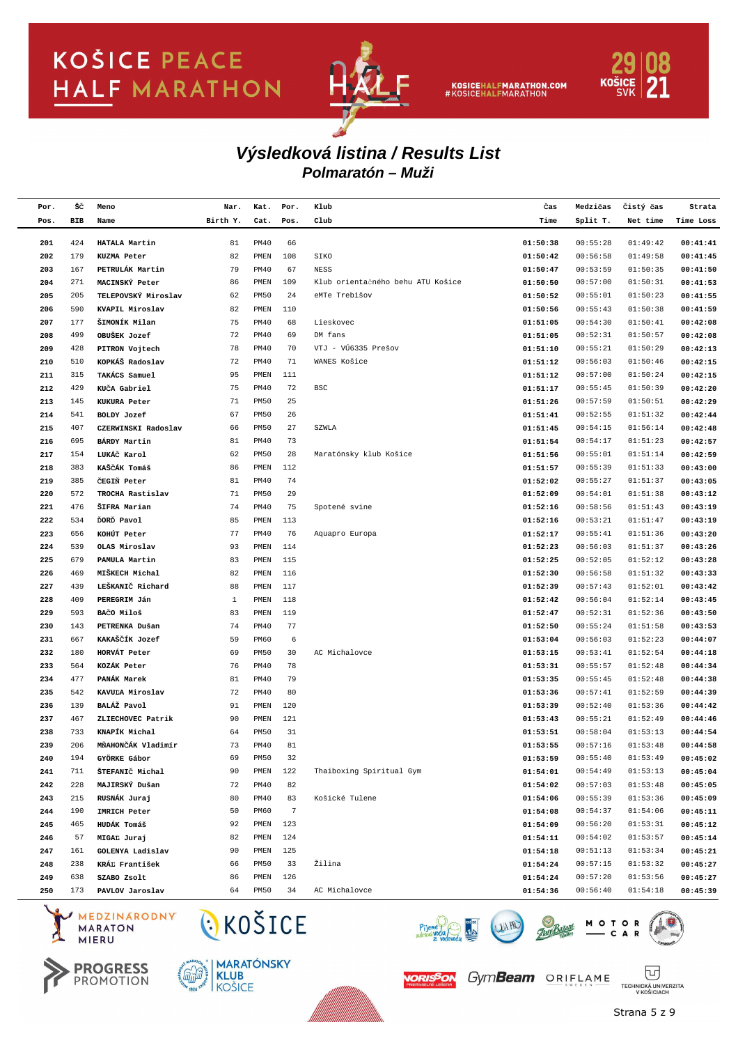

KOSICEHALFMARATHON.COM<br>#KOSICEHALFMARATHON



### **Polmaratón – Muži Výsledková listina / Results List**

| Por.       | šč         | Meno                           | Nar.     | Kat.                        | Por.           | Klub                              | Čas                  | Medzičas             | Čistý čas            | Strata               |
|------------|------------|--------------------------------|----------|-----------------------------|----------------|-----------------------------------|----------------------|----------------------|----------------------|----------------------|
| Pos.       | BIB        | Name                           | Birth Y. | Cat.                        | Pos.           | Club                              | Time                 | Split T.             | Net time             | Time Loss            |
|            |            |                                |          |                             |                |                                   |                      |                      |                      |                      |
| 201<br>202 | 424<br>179 | HATALA Martin<br>KUZMA Peter   | 81       | <b>PM40</b><br>${\tt PMEN}$ | 66<br>108      | SIKO                              | 01:50:38<br>01:50:42 | 00:55:28<br>00:56:58 | 01:49:42             | 00:41:41             |
| 203        | 167        | PETRULÁK Martin                | 82<br>79 | <b>PM40</b>                 | 67             | NESS                              | 01:50:47             | 00:53:59             | 01:49:58<br>01:50:35 | 00:41:45<br>00:41:50 |
| 204        | 271        | MACINSKÝ Peter                 | 86       | PMEN                        | 109            | Klub orientačného behu ATU Košice | 01:50:50             | 00:57:00             | 01:50:31             | 00:41:53             |
| 205        | 205        | TELEPOVSKÝ Miroslav            | 62       | <b>PM50</b>                 | 24             | eMTe Trebišov                     | 01:50:52             | 00:55:01             | 01:50:23             | 00:41:55             |
| 206        | 590        | KVAPIL Miroslav                | 82       | ${\tt PMEN}$                | 110            |                                   | 01:50:56             | 00:55:43             | 01:50:38             | 00:41:59             |
| 207        | 177        | ŠIMONÍK Milan                  | 75       | <b>PM40</b>                 | 68             | Lieskovec                         | 01:51:05             | 00:54:30             | 01:50:41             | 00:42:08             |
| 208        | 499        | OBUŠEK Jozef                   | 72       | <b>PM40</b>                 | 69             | DM fans                           | 01:51:05             | 00:52:31             | 01:50:57             | 00:42:08             |
| 209        | 428        | PITRON Vojtech                 | 78       | <b>PM40</b>                 | 70             | VTJ - VÚ6335 Prešov               | 01:51:10             | 00:55:21             | 01:50:29             | 00:42:13             |
| 210        | 510        | KOPKÁŠ Radoslav                | 72       | <b>PM40</b>                 | 71             | WANES Košice                      | 01:51:12             | 00:56:03             | 01:50:46             | 00:42:15             |
| 211        | 315        | TAKÁCS Samuel                  | 95       | ${\tt PMEN}$                | 111            |                                   | 01:51:12             | 00:57:00             | 01:50:24             | 00:42:15             |
| 212        | 429        | KUCA Gabriel                   | 75       | <b>PM40</b>                 | 72             | BSC                               | 01:51:17             | 00:55:45             | 01:50:39             | 00:42:20             |
| 213        | 145        | KUKURA Peter                   | 71       | <b>PM50</b>                 | 25             |                                   | 01:51:26             | 00:57:59             | 01:50:51             | 00:42:29             |
| 214        | 541        | BOLDY Jozef                    | 67       | <b>PM50</b>                 | 26             |                                   | 01:51:41             | 00:52:55             | 01:51:32             | 00:42:44             |
| 215        | 407        | CZERWINSKI Radoslav            | 66       | <b>PM50</b>                 | 27             | SZWLA                             | 01:51:45             | 00:54:15             | 01:56:14             | 00:42:48             |
| 216        | 695        | BÁRDY Martin                   | 81       | <b>PM40</b>                 | 73             |                                   | 01:51:54             | 00:54:17             | 01:51:23             | 00:42:57             |
| 217        | 154        | LUKÁČ Karol                    | 62       | <b>PM50</b>                 | 28             | Maratónsky klub Košice            | 01:51:56             | 00:55:01             | 01:51:14             | 00:42:59             |
| 218        | 383        | KAŠČÁK Tomáš                   | 86       | ${\tt PMEN}$                | 112            |                                   | 01:51:57             | 00:55:39             | 01:51:33             | 00:43:00             |
| 219        | 385        | ČEGIŇ Peter                    | 81       | <b>PM40</b>                 | 74             |                                   | 01:52:02             | 00:55:27             | 01:51:37             | 00:43:05             |
| 220        | 572        | TROCHA Rastislav               | 71       | <b>PM50</b>                 | 29             |                                   | 01:52:09             | 00:54:01             | 01:51:38             | 00:43:12             |
| 221        | 476        | ŠIFRA Marian                   | 74       | <b>PM40</b>                 | 75             | Spotené svine                     | 01:52:16             | 00:58:56             | 01:51:43             | 00:43:19             |
| 222        | 534        | DORD Pavol                     | 85       | ${\tt PMEN}$                | 113            |                                   | 01:52:16             | 00:53:21             | 01:51:47             | 00:43:19             |
| 223        | 656        | KOHÚT Peter                    | 77       | <b>PM40</b>                 | 76             | Aquapro Europa                    | 01:52:17             | 00:55:41             | 01:51:36             | 00:43:20             |
| 224        | 539        | OLAS Miroslav                  | 93       | ${\tt PMEN}$                | 114            |                                   | 01:52:23             | 00:56:03             | 01:51:37             | 00:43:26             |
| 225        | 679        | PAMULA Martin                  | 83       | ${\tt PMEN}$                | 115            |                                   | 01:52:25             | 00:52:05             | 01:52:12             | 00:43:28             |
| 226        | 469        | MIŠKECH Michal                 | 82       | ${\tt PMEN}$                | 116            |                                   | 01:52:30             | 00:56:58             | 01:51:32             | 00:43:33             |
| 227        | 439        | LEŠKANIČ Richard               | 88       | ${\tt PMEN}$                | 117            |                                   | 01:52:39             | 00:57:43             | 01:52:01             | 00:43:42             |
| 228        | 409        | PEREGRIM Ján                   | 1        | ${\tt PMEN}$                | 118            |                                   | 01:52:42             | 00:56:04             | 01:52:14             | 00:43:45             |
| 229        | 593        | BAČO Miloš                     | 83       | ${\tt PMEN}$                | 119            |                                   | 01:52:47             | 00:52:31             | 01:52:36             | 00:43:50             |
| 230        | 143        | PETRENKA Dušan                 | 74       | <b>PM40</b>                 | 77             |                                   | 01:52:50             | 00:55:24             | 01:51:58             | 00:43:53             |
| 231        | 667        | KAKAŠČÍK Jozef                 | 59       | PM60                        | 6              |                                   | 01:53:04             | 00:56:03             | 01:52:23             | 00:44:07             |
| 232        | 180        | HORVÁT Peter                   | 69       | <b>PM50</b>                 | 30             | AC Michalovce                     | 01:53:15             | 00:53:41             | 01:52:54             | 00:44:18             |
| 233        | 564        | KOZÁK Peter                    | 76       | <b>PM40</b>                 | 78             |                                   | 01:53:31             | 00:55:57             | 01:52:48             | 00:44:34             |
| 234        | 477        | PANÁK Marek                    | 81       | <b>PM40</b>                 | 79             |                                   | 01:53:35             | 00:55:45             | 01:52:48             | 00:44:38             |
| 235        | 542        | KAVULA Miroslav                | 72       | <b>PM40</b>                 | 80             |                                   | 01:53:36             | 00:57:41             | 01:52:59             | 00:44:39             |
| 236        | 139        | BALÁŽ Pavol                    | 91       | ${\tt PMEN}$                | 120            |                                   | 01:53:39             | 00:52:40             | 01:53:36             | 00:44:42             |
| 237        | 467        | ZLIECHOVEC Patrik              | 90       | ${\tt PMEN}$                | 121            |                                   | 01:53:43             | 00:55:21             | 01:52:49             | 00:44:46             |
| 238        | 733        | KNAPÍK Michal                  | 64       | PM50                        | 31             |                                   | 01:53:51             | 00:58:04             | 01:53:13             | 00:44:54             |
| 239        | 206        | MŇAHONČÁK Vladimír             | 73       | <b>PM40</b>                 | 81             |                                   | 01:53:55             | 00:57:16             | 01:53:48             | 00:44:58             |
| 240        | 194        | GYÖRKE Gábor                   | 69       | PM50                        | 32             |                                   | 01:53:59             | 00:55:40             | 01:53:49             | 00:45:02             |
| 241        | 711        | ŠTEFANIČ Michal                | 90       | PMEN                        | 122            | Thaiboxing Spiritual Gym          | 01:54:01             | 00:54:49             | 01:53:13             | 00:45:04             |
| 242        | 228        | MAJIRSKÝ Dušan                 | 72       | <b>PM40</b>                 | 82             |                                   | 01:54:02             | 00:57:03             | 01:53:48             | 00:45:05             |
| 243        | 215        | RUSNÁK Juraj                   | 80       | <b>PM40</b>                 | 83             | Košické Tulene                    | 01:54:06             | 00:55:39             | 01:53:36             | 00:45:09             |
| 244        | 190        | IMRICH Peter                   | 50       | PM60                        | $\overline{7}$ |                                   | 01:54:08             | 00:54:37             | 01:54:06             | 00:45:11             |
| 245        | 465        | HUDÁK Tomáš                    | 92       | ${\tt PMEN}$                | 123            |                                   | 01:54:09             | 00:56:20             | 01:53:31             | 00:45:12             |
| 246        | 57         | MIGAL Juraj                    | 82       | ${\tt PMEN}$                | 124            |                                   | 01:54:11             | 00:54:02             | 01:53:57             | 00:45:14             |
| 247        | 161        | GOLENYA Ladislav               | 90       | ${\tt PMEN}$                | 125            |                                   | 01:54:18             | 00:51:13             | 01:53:34             | 00:45:21             |
| 248        | 238        | KRÁĽ František                 | 66       | PM50                        | 33             | Žilina                            | 01:54:24             | 00:57:15             | 01:53:32             | 00:45:27             |
| 249        | 638        | SZABO Zsolt                    | 86       | PMEN                        | 126            |                                   | 01:54:24             | 00:57:20             | 01:53:56             | 00:45:27             |
| 250        | 173        | PAVLOV Jaroslav                | 64       | <b>PM50</b>                 | 34             | AC Michalovce                     | 01:54:36             | 00:56:40             | 01:54:18             | 00:45:39             |
|            |            | MEDZINARODNY<br><b>MARATON</b> | CKOŠICE  |                             |                |                                   |                      | MOTOR                |                      |                      |

MEDZINARODNY **MARATON MIERU** 









Strana 5 z 9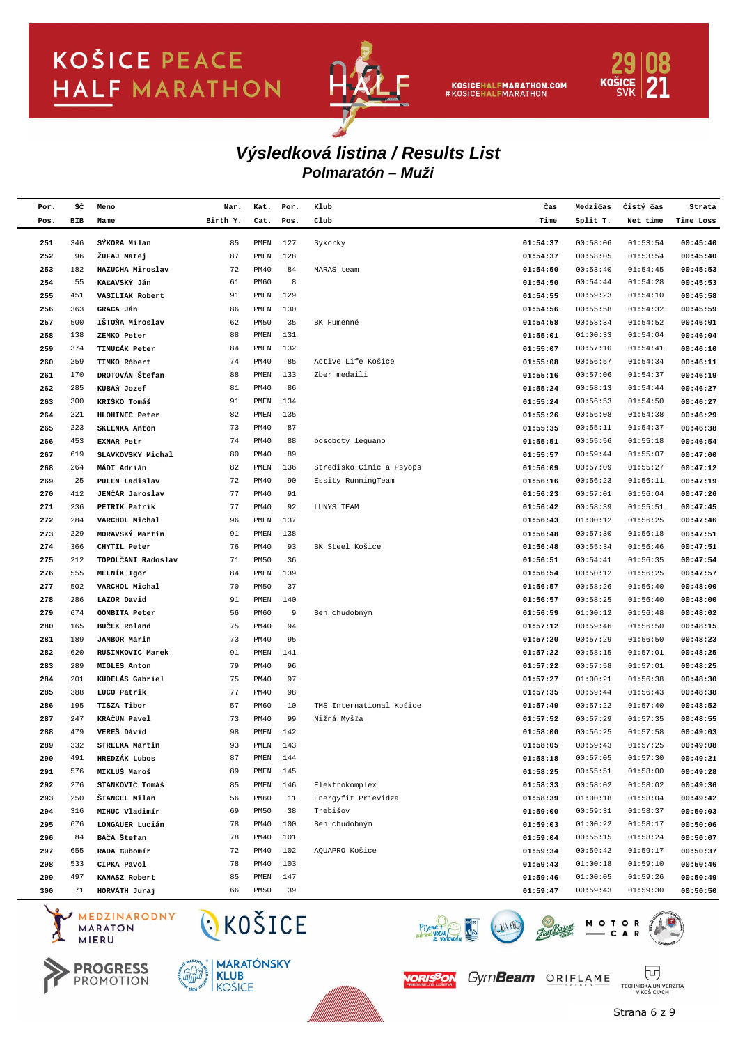

KOSICEHALFMARATHON.COM<br>#KOSICEHALFMARATHON



### **Polmaratón – Muži Výsledková listina / Results List**

| Por. | šč  | Meno                           | Nar.     | Kat.         | Por. | Klub                     | Čas      | Medzičas        | Čistý čas | Strata    |
|------|-----|--------------------------------|----------|--------------|------|--------------------------|----------|-----------------|-----------|-----------|
| Pos. | BIB | Name                           | Birth Y. | Cat.         | Pos. | Club                     | Time     | Split T.        | Net time  | Time Loss |
|      |     |                                |          |              |      |                          |          |                 |           |           |
| 251  | 346 | SÝKORA Milan                   | 85       | PMEN         | 127  | Sykorky                  | 01:54:37 | 00:58:06        | 01:53:54  | 00:45:40  |
| 252  | 96  | ŽUFAJ Matej                    | 87       | PMEN         | 128  |                          | 01:54:37 | 00:58:05        | 01:53:54  | 00:45:40  |
| 253  | 182 | HAZUCHA Miroslav               | 72       | <b>PM40</b>  | 84   | MARAS team               | 01:54:50 | 00:53:40        | 01:54:45  | 00:45:53  |
| 254  | 55  | KAĽAVSKÝ Ján                   | 61       | PM60         | 8    |                          | 01:54:50 | 00:54:44        | 01:54:28  | 00:45:53  |
| 255  | 451 | VASILIAK Robert                | 91       | PMEN         | 129  |                          | 01:54:55 | 00:59:23        | 01:54:10  | 00:45:58  |
| 256  | 363 | GRACA Ján                      | 86       | PMEN         | 130  |                          | 01:54:56 | 00:55:58        | 01:54:32  | 00:45:59  |
| 257  | 500 | IŠTOŇA Miroslav                | 62       | <b>PM50</b>  | 35   | BK Humenné               | 01:54:58 | 00:58:34        | 01:54:52  | 00:46:01  |
| 258  | 138 | ZEMKO Peter                    | 88       | PMEN         | 131  |                          | 01:55:01 | 01:00:33        | 01:54:04  | 00:46:04  |
| 259  | 374 | TIMULÁK Peter                  | 84       | PMEN         | 132  |                          | 01:55:07 | 00:57:10        | 01:54:41  | 00:46:10  |
| 260  | 259 | TIMKO Róbert                   | 74       | <b>PM40</b>  | 85   | Active Life Košice       | 01:55:08 | 00:56:57        | 01:54:34  | 00:46:11  |
| 261  | 170 | DROTOVÁN Štefan                | 88       | PMEN         | 133  | Zber medaili             | 01:55:16 | 00:57:06        | 01:54:37  | 00:46:19  |
| 262  | 285 | KUBÁŇ Jozef                    | 81       | <b>PM40</b>  | 86   |                          | 01:55:24 | 00:58:13        | 01:54:44  | 00:46:27  |
| 263  | 300 | KRIŠKO Tomáš                   | 91       | PMEN         | 134  |                          | 01:55:24 | 00:56:53        | 01:54:50  | 00:46:27  |
| 264  | 221 | HLOHINEC Peter                 | 82       | PMEN         | 135  |                          | 01:55:26 | 00:56:08        | 01:54:38  | 00:46:29  |
| 265  | 223 | <b>SKLENKA Anton</b>           | 73       | <b>PM40</b>  | 87   |                          | 01:55:35 | 00:55:11        | 01:54:37  | 00:46:38  |
| 266  | 453 | <b>EXNAR Petr</b>              | 74       | <b>PM40</b>  | 88   | bosoboty leguano         | 01:55:51 | 00:55:56        | 01:55:18  | 00:46:54  |
| 267  | 619 | SLAVKOVSKY Michal              | 80       | <b>PM40</b>  | 89   |                          | 01:55:57 | 00:59:44        | 01:55:07  | 00:47:00  |
| 268  | 264 | MÁDI Adrián                    | 82       | PMEN         | 136  | Stredisko Cimic a Psyops | 01:56:09 | 00:57:09        | 01:55:27  | 00:47:12  |
| 269  | 25  | PULEN Ladislav                 | 72       | <b>PM40</b>  | 90   | Essity RunningTeam       | 01:56:16 | 00:56:23        | 01:56:11  | 00:47:19  |
| 270  | 412 | JENČÁR Jaroslav                | 77       | PM40         | 91   |                          | 01:56:23 | 00:57:01        | 01:56:04  | 00:47:26  |
| 271  | 236 | PETRIK Patrik                  | 77       | PM40         | 92   | LUNYS TEAM               | 01:56:42 | 00:58:39        | 01:55:51  | 00:47:45  |
| 272  | 284 | VARCHOL Michal                 | 96       | PMEN         | 137  |                          | 01:56:43 | 01:00:12        | 01:56:25  | 00:47:46  |
| 273  | 229 | MORAVSKÝ Martin                | 91       | PMEN         | 138  |                          | 01:56:48 | 00:57:30        | 01:56:18  | 00:47:51  |
| 274  | 366 | CHYTIL Peter                   | 76       | <b>PM40</b>  | 93   | BK Steel Košice          | 01:56:48 | 00:55:34        | 01:56:46  | 00:47:51  |
| 275  | 212 | TOPOLČANI Radoslav             | 71       | <b>PM50</b>  | 36   |                          | 01:56:51 | 00:54:41        | 01:56:35  | 00:47:54  |
| 276  | 555 | MELNÍK Igor                    | 84       | PMEN         | 139  |                          | 01:56:54 | 00:50:12        | 01:56:25  | 00:47:57  |
| 277  | 502 | VARCHOL Michal                 | 70       | <b>PM50</b>  | 37   |                          | 01:56:57 | 00:58:26        | 01:56:40  | 00:48:00  |
| 278  | 286 | LAZOR David                    | 91       | PMEN         | 140  |                          | 01:56:57 | 00:58:25        | 01:56:40  | 00:48:00  |
| 279  | 674 | <b>GOMBITA Peter</b>           | 56       | PM60         | 9    | Beh chudobným            | 01:56:59 | 01:00:12        | 01:56:48  | 00:48:02  |
| 280  | 165 | <b>BUCEK</b> Roland            | 75       | PM40         | 94   |                          | 01:57:12 | 00:59:46        | 01:56:50  | 00:48:15  |
| 281  | 189 | <b>JAMBOR Marin</b>            | 73       | <b>PM40</b>  | 95   |                          | 01:57:20 | 00:57:29        | 01:56:50  | 00:48:23  |
| 282  | 620 | RUSINKOVIC Marek               | 91       | PMEN         | 141  |                          | 01:57:22 | 00:58:15        | 01:57:01  | 00:48:25  |
| 283  | 289 | <b>MIGLES Anton</b>            | 79       | <b>PM40</b>  | 96   |                          | 01:57:22 | 00:57:58        | 01:57:01  | 00:48:25  |
| 284  | 201 | KUDELÁS Gabriel                | 75       | <b>PM40</b>  | 97   |                          | 01:57:27 | 01:00:21        | 01:56:38  | 00:48:30  |
| 285  | 388 | LUCO Patrik                    | 77       | <b>PM40</b>  | 98   |                          | 01:57:35 | 00:59:44        | 01:56:43  | 00:48:38  |
| 286  | 195 | TISZA Tibor                    | 57       | PM60         | 10   | TMS International Košice | 01:57:49 | 00:57:22        | 01:57:40  | 00:48:52  |
| 287  | 247 | KRAČUN Pavel                   | 73       | <b>PM40</b>  | 99   | Nižná Myšľa              | 01:57:52 | 00:57:29        | 01:57:35  | 00:48:55  |
| 288  | 479 | VEREŠ Dávid                    | 98       | PMEN         | 142  |                          | 01:58:00 | 00:56:25        | 01:57:58  | 00:49:03  |
| 289  | 332 | STRELKA Martin                 | 93       | PMEN         | 143  |                          | 01:58:05 | 00:59:43        | 01:57:25  | 00:49:08  |
| 290  | 491 | HREDZÁK Lubos                  | 87       | PMEN         | 144  |                          | 01:58:18 | 00:57:05        | 01:57:30  | 00:49:21  |
| 291  | 576 | MIKLUŠ Maroš                   | 89       | PMEN         | 145  |                          | 01:58:25 | 00:55:51        | 01:58:00  | 00:49:28  |
| 292  | 276 | STANKOVIČ Tomáš                | 85       | PMEN         | 146  | Elektrokomplex           | 01:58:33 | 00:58:02        | 01:58:02  | 00:49:36  |
| 293  | 250 | ŠTANCEL Milan                  | 56       | PM60         | 11   | Energyfit Prievidza      | 01:58:39 | 01:00:18        | 01:58:04  | 00:49:42  |
| 294  | 316 | MIHUC Vladimír                 | 69       | <b>PM50</b>  | 38   | Trebišov                 | 01:59:00 | 00:59:31        | 01:58:37  | 00:50:03  |
| 295  | 676 | LONGAUER Lucián                | 78       | <b>PM40</b>  | 100  | Beh chudobným            | 01:59:03 | 01:00:22        | 01:58:17  | 00:50:06  |
| 296  | 84  | BAČA Štefan                    | 78       | PM40         | 101  |                          | 01:59:04 | 00:55:15        | 01:58:24  | 00:50:07  |
| 297  | 655 | RADA Ľubomír                   | 72       | PM40         | 102  | AQUAPRO Košice           | 01:59:34 | 00:59:42        | 01:59:17  | 00:50:37  |
| 298  | 533 | CIPKA Pavol                    | 78       | PM40         | 103  |                          | 01:59:43 | 01:00:18        | 01:59:10  | 00:50:46  |
| 299  | 497 | KANASZ Robert                  | 85       | ${\tt PMEN}$ | 147  |                          | 01:59:46 | 01:00:05        | 01:59:26  | 00:50:49  |
| 300  | 71  | HORVÁTH Juraj                  | 66       | PM50         | 39   |                          | 01:59:47 | 00:59:43        | 01:59:30  | 00:50:50  |
|      |     | MEDZINARODNY<br><b>MARATON</b> | CKOŠICE  |              |      |                          |          | $M O T O$ $C A$ |           |           |











TECHNICKÁ UNIVERZITA<br>V KOŠICIACH Strana 6 z 9

冚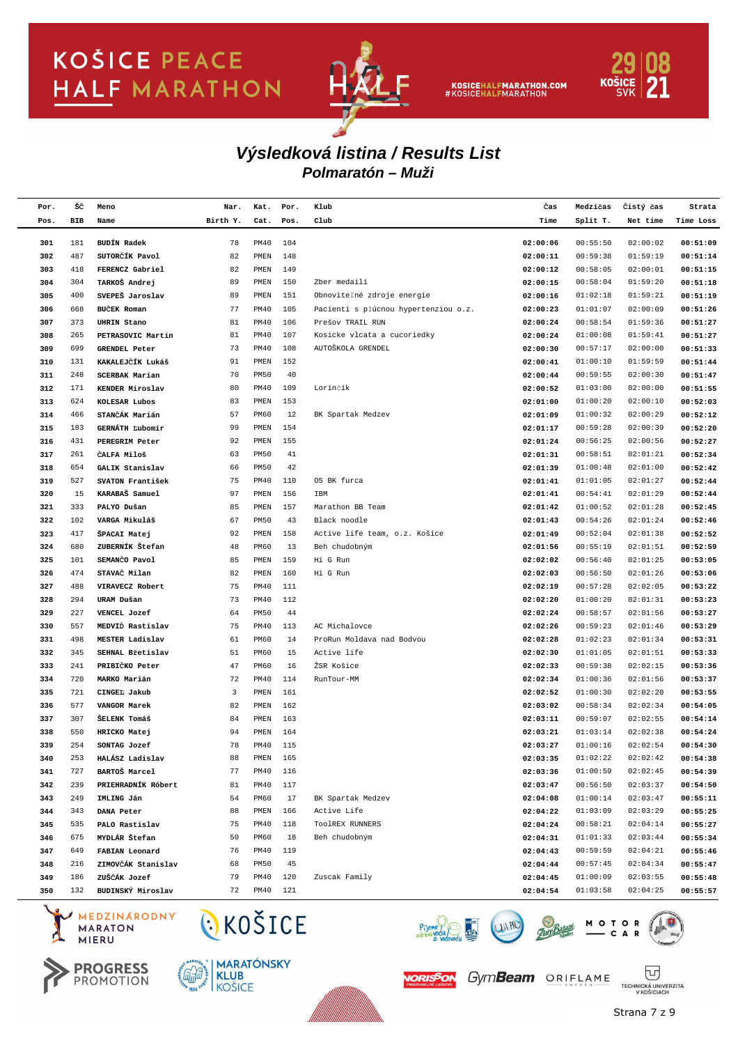

KOSICEHALFMARATHON.COM<br>#KOSICEHALFMARATHON



### **Polmaratón – Muži Výsledková listina / Results List**

| Por.       | šč         | Meno                                      | Nar.     | Kat.                       | Por.       | Klub                                                     | Čas                  | Medzičas             | Čistý čas            | Strata               |
|------------|------------|-------------------------------------------|----------|----------------------------|------------|----------------------------------------------------------|----------------------|----------------------|----------------------|----------------------|
| Pos.       | BIB        | Name                                      | Birth Y. | Cat.                       | Pos.       | Club                                                     | Time                 | Split T.             | Net time             | Time Loss            |
|            |            |                                           |          |                            |            |                                                          |                      |                      |                      |                      |
| 301        | 181        | <b>BUDÍN Radek</b>                        | 78       | <b>PM40</b>                | 104        |                                                          | 02:00:06             | 00:55:50             | 02:00:02             | 00:51:09             |
| 302        | 487        | SUTORČÍK Pavol                            | 82       | PMEN                       | 148        |                                                          | 02:00:11             | 00:59:38             | 01:59:19             | 00:51:14             |
| 303        | 418        | FERENCZ Gabriel                           | 82       | PMEN                       | 149        |                                                          | 02:00:12             | 00:58:05             | 02:00:01             | 00:51:15             |
| 304        | 304        | TARKOŠ Andrej                             | 89       | PMEN                       | 150        | Zber medailí                                             | 02:00:15             | 00:58:04             | 01:59:20             | 00:51:18             |
| 305        | 400        | SVEPEŠ Jaroslav                           | 89<br>77 | PMEN                       | 151<br>105 | Obnoviteľné zdroje energie                               | 02:00:16             | 01:02:18             | 01:59:21             | 00:51:19             |
| 306        | 668        | BUČEK Roman                               |          | <b>PM40</b>                | 106        | Pacienti s pľúcnou hypertenziou o.z.<br>Prešov TRAIL RUN | 02:00:23             | 01:01:07             | 02:00:09<br>01:59:36 | 00:51:26             |
| 307        | 373        | <b>UHRIN Stano</b>                        | 81<br>81 | <b>PM40</b><br><b>PM40</b> | 107        |                                                          | 02:00:24             | 00:58:54<br>01:00:08 | 01:59:41             | 00:51:27             |
| 308<br>309 | 265<br>699 | PETRASOVIC Martin<br><b>GRENDEL Peter</b> | 73       | <b>PM40</b>                | 108        | Kosicke vlcata a cucoriedky<br>AUTOŠKOLA GRENDEL         | 02:00:24<br>02:00:30 | 00:57:17             | 02:00:00             | 00:51:27<br>00:51:33 |
| 310        | 131        | KAKALEJČÍK Lukáš                          | 91       | PMEN                       | 152        |                                                          | 02:00:41             | 01:00:10             | 01:59:59             | 00:51:44             |
| 311        | 248        | <b>SCERBAK Marian</b>                     | 70       | <b>PM50</b>                | 40         |                                                          | 02:00:44             | 00:59:55             | 02:00:30             | 00:51:47             |
| 312        | 171        | KENDER Miroslav                           | 80       | <b>PM40</b>                | 109        | Lorinčík                                                 | 02:00:52             | 01:03:00             | 02:00:00             | 00:51:55             |
| 313        | 624        | KOLESAR Lubos                             | 83       | PMEN                       | 153        |                                                          | 02:01:00             | 01:00:20             | 02:00:10             | 00:52:03             |
| 314        | 466        | STANČÁK Marián                            | 57       | PM60                       | 12         | BK Spartak Medzev                                        | 02:01:09             | 01:00:32             | 02:00:29             | 00:52:12             |
| 315        | 183        | GERNÁTH Ľubomír                           | 99       | PMEN                       | 154        |                                                          | 02:01:17             | 00:59:28             | 02:00:39             | 00:52:20             |
| 316        | 431        | PEREGRIM Peter                            | 92       | PMEN                       | 155        |                                                          | 02:01:24             | 00:56:25             | 02:00:56             | 00:52:27             |
| 317        | 261        | ČALFA Miloš                               | 63       | <b>PM50</b>                | 41         |                                                          | 02:01:31             | 00:58:51             | 02:01:21             | 00:52:34             |
| 318        | 654        | GALIK Stanislav                           | 66       | <b>PM50</b>                | 42         |                                                          | 02:01:39             | 01:00:48             | 02:01:00             | 00:52:42             |
| 319        | 527        | SVATON František                          | 75       | PM40                       | 110        | 05 BK furca                                              | 02:01:41             | 01:01:05             | 02:01:27             | 00:52:44             |
| 320        | 15         | KARABAŠ Samuel                            | 97       | PMEN                       | 156        | IBM                                                      | 02:01:41             | 00:54:41             | 02:01:29             | 00:52:44             |
| 321        | 333        | PALYO Dušan                               | 85       | PMEN                       | 157        | Marathon BB Team                                         | 02:01:42             | 01:00:52             | 02:01:28             | 00:52:45             |
| 322        | 102        | VARGA Mikuláš                             | 67       | <b>PM50</b>                | 43         | Black noodle                                             | 02:01:43             | 00:54:26             | 02:01:24             | 00:52:46             |
| 323        | 417        | ŠPACAI Matej                              | 92       | PMEN                       | 158        | Active life team, o.z. Košice                            | 02:01:49             | 00:52:04             | 02:01:38             | 00:52:52             |
| 324        | 680        | ZUBERNÍK Štefan                           | 48       | PM60                       | 13         | Beh chudobným                                            | 02:01:56             | 00:55:19             | 02:01:51             | 00:52:59             |
| 325        | 101        | SEMANCO Pavol                             | 85       | PMEN                       | 159        | Hi G Run                                                 | 02:02:02             | 00:56:40             | 02:01:25             | 00:53:05             |
| 326        | 474        | STAVAČ Milan                              | 82       | PMEN                       | 160        | Hi G Run                                                 | 02:02:03             | 00:56:50             | 02:01:26             | 00:53:06             |
| 327        | 488        | VIRAVECZ Robert                           | 75       | <b>PM40</b>                | 111        |                                                          | 02:02:19             | 00:57:28             | 02:02:05             | 00:53:22             |
| 328        | 294        | URAM Dušan                                | 73       | PM40                       | 112        |                                                          | 02:02:20             | 01:00:20             | 02:01:31             | 00:53:23             |
| 329        | 227        | VENCEL Jozef                              | 64       | <b>PM50</b>                | 44         |                                                          | 02:02:24             | 00:58:57             | 02:01:56             | 00:53:27             |
| 330        | 557        | MEDVID Rastislav                          | 75       | PM40                       | 113        | AC Michalovce                                            | 02:02:26             | 00:59:23             | 02:01:46             | 00:53:29             |
| 331        | 498        | MESTER Ladislav                           | 61       | PM60                       | 14         | ProRun Moldava nad Bodvou                                | 02:02:28             | 01:02:23             | 02:01:34             | 00:53:31             |
| 332        | 345        | SEHNAL Břetislav                          | 51       | PM60                       | 15         | Active life                                              | 02:02:30             | 01:01:05             | 02:01:51             | 00:53:33             |
| 333        | 241        | PRIBIČKO Peter                            | 47       | PM60                       | 16         | ŽSR Košice                                               | 02:02:33             | 00:59:38             | 02:02:15             | 00:53:36             |
| 334        | 720        | MARKO Marián                              | 72       | <b>PM40</b>                | 114        | RunTour-MM                                               | 02:02:34             | 01:00:36             | 02:01:56             | 00:53:37             |
| 335        | 721        | CINGEL Jakub                              | 3        | PMEN                       | 161        |                                                          | 02:02:52             | 01:00:30             | 02:02:20             | 00:53:55             |
| 336        | 577        | VANGOR Marek                              | 82       | PMEN                       | 162        |                                                          | 02:03:02             | 00:58:34             | 02:02:34             | 00:54:05             |
| 337        | 307        | ŠELENK Tomáš                              | 84       | PMEN                       | 163        |                                                          | 02:03:11             | 00:59:07             | 02:02:55             | 00:54:14             |
| 338        | 550        | HRICKO Matej                              | 94       | PMEN                       | 164        |                                                          | 02:03:21             | 01:03:14             | 02:02:38             | 00:54:24             |
| 339        | 254        | SONTAG Jozef                              | 78       | PM40                       | 115        |                                                          | 02:03:27             | 01:00:16             | 02:02:54             | 00:54:30             |
| 340        | 253        | HALĀSZ Ladislav                           | 88       | PMEN                       | 165        |                                                          | 02:03:35             | 01:02:22             | 02:02:42             | 00:54:38             |
| 341        | 727        | BARTOŠ Marcel                             | 77       | PM40                       | 116        |                                                          | 02:03:36             | 01:00:59             | 02:02:45             | 00:54:39             |
| 342        | 239        | PRIEHRADNÍK Róbert                        | 81       | PM40                       | 117        |                                                          | 02:03:47             | 00:56:50             | 02:03:37             | 00:54:50             |
| 343        | 249        | IMLING Ján                                | 54       | PM60                       | 17         | BK Spartak Medzev                                        | 02:04:08             | 01:00:14             | 02:03:47             | 00:55:11             |
| 344        | 343        | DANA Peter                                | 88       | ${\tt PMEN}$               | 166        | Active Life                                              | 02:04:22             | 01:03:09             | 02:03:29             | 00:55:25             |
| 345        | 535        | PALO Rastislav                            | 75       | <b>PM40</b>                | 118        | TOOlREX RUNNERS                                          | 02:04:24             | 00:58:21             | 02:04:14             | 00:55:27             |
| 346        | 675        | MYDLÁR Štefan                             | 50       | PM60                       | 18         | Beh chudobným                                            | 02:04:31             | 01:01:33             | 02:03:44             | 00:55:34             |
| 347        | 649        | FABIAN Leonard                            | 76       | PM40                       | 119        |                                                          | 02:04:43             | 00:59:59             | 02:04:21             | 00:55:46             |
| 348        | 216        | ZIMOVČÁK Stanislav                        | 68       | PM50                       | 45         |                                                          | 02:04:44             | 00:57:45             | 02:04:34             | 00:55:47             |
| 349        | 186        | ZUŠČÁK Jozef                              | 79       | PM40                       | 120        | Zuscak Family                                            | 02:04:45             | 01:00:09             | 02:03:55             | 00:55:48             |
| 350        | 132        | BUDINSKÝ Miroslav                         | 72       | PM40                       | 121        |                                                          | 02:04:54             | 01:03:58             | 02:04:25             | 00:55:57             |

MEDZINARODNY **MARATON MIERU** 





CKOŠICE



Piy



Strana 7 z 9

冚

TECHNICKÁ UNIVERZITA<br>V KOŠICIACH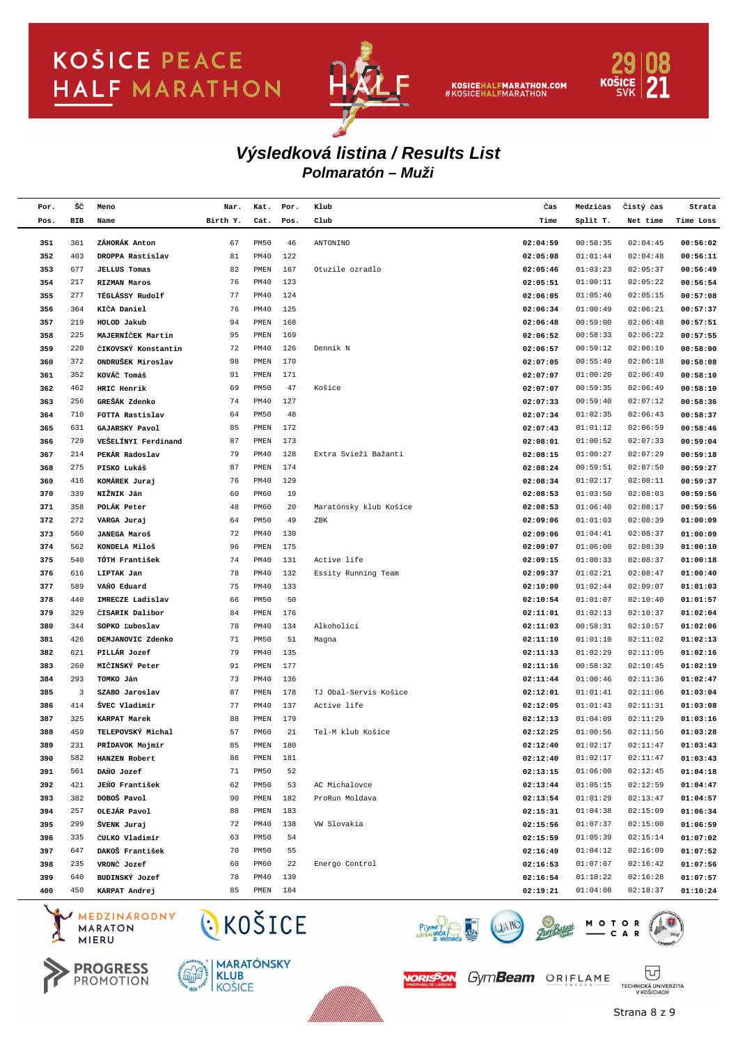

KOSICEHALFMARATHON.COM<br>#KOSICEHALFMARATHON



#### **Polmaratón – Muži Výsledková listina / Results List**

| Por. | šč  | Meno                | Nar.     | Kat.         | Por. | Klub                   | Čas      | Medzičas | Čistý čas | Strata    |
|------|-----|---------------------|----------|--------------|------|------------------------|----------|----------|-----------|-----------|
| Pos. | BIB | Name                | Birth Y. | Cat.         | Pos. | Club                   | Time     | Split T. | Net time  | Time Loss |
|      |     |                     |          |              |      |                        |          |          |           |           |
| 351  | 361 | ZÁHORÁK Anton       | 67       | <b>PM50</b>  | 46   | ANTONINO               | 02:04:59 | 00:58:35 | 02:04:45  | 00:56:02  |
| 352  | 403 | DROPPA Rastislav    | 81       | PM40         | 122  |                        | 02:05:08 | 01:01:44 | 02:04:48  | 00:56:11  |
| 353  | 677 | <b>JELLUS Tomas</b> | 82       | PMEN         | 167  | Otuzile ozradlo        | 02:05:46 | 01:03:23 | 02:05:37  | 00:56:49  |
| 354  | 217 | <b>RIZMAN Maros</b> | 76       | PM40         | 123  |                        | 02:05:51 | 01:00:11 | 02:05:22  | 00:56:54  |
| 355  | 277 | TÉGLÁSSY Rudolf     | 77       | PM40         | 124  |                        | 02:06:05 | 01:05:46 | 02:05:15  | 00:57:08  |
| 356  | 364 | KIČA Daniel         | 76       | PM40         | 125  |                        | 02:06:34 | 01:00:49 | 02:06:21  | 00:57:37  |
| 357  | 219 | HOLOD Jakub         | 94       | PMEN         | 168  |                        | 02:06:48 | 00:59:00 | 02:06:48  | 00:57:51  |
| 358  | 225 | MAJERNÍČEK Martin   | 95       | PMEN         | 169  |                        | 02:06:52 | 00:58:33 | 02:06:22  | 00:57:55  |
| 359  | 220 | ČIKOVSKÝ Konstantin | 72       | PM40         | 126  | Denník N               | 02:06:57 | 00:59:12 | 02:06:10  | 00:58:00  |
| 360  | 372 | ONDRUŠEK Miroslav   | 98       | PMEN         | 170  |                        | 02:07:05 | 00:55:49 | 02:06:18  | 00:58:08  |
| 361  | 352 | KOVÁČ Tomáš         | 91       | PMEN         | 171  |                        | 02:07:07 | 01:00:20 | 02:06:49  | 00:58:10  |
| 362  | 462 | HRIC Henrik         | 69       | <b>PM50</b>  | 47   | Košice                 | 02:07:07 | 00:59:35 | 02:06:49  | 00:58:10  |
| 363  | 256 | GREŠÁK Zdenko       | 74       | PM40         | 127  |                        | 02:07:33 | 00:59:40 | 02:07:12  | 00:58:36  |
| 364  | 710 | FOTTA Rastislav     | 64       | <b>PM50</b>  | 48   |                        | 02:07:34 | 01:02:35 | 02:06:43  | 00:58:37  |
| 365  | 631 | GAJARSKY Pavol      | 85       | PMEN         | 172  |                        | 02:07:43 | 01:01:12 | 02:06:59  | 00:58:46  |
| 366  | 729 | VEŠELÍNYI Ferdinand | 87       | PMEN         | 173  |                        | 02:08:01 | 01:00:52 | 02:07:33  | 00:59:04  |
| 367  | 214 | PEKÁR Radoslav      | 79       | PM40         | 128  | Extra Svieži Bažanti   | 02:08:15 | 01:00:27 | 02:07:29  | 00:59:18  |
| 368  | 275 | PISKO Lukáš         | 87       | PMEN         | 174  |                        | 02:08:24 | 00:59:51 | 02:07:50  | 00:59:27  |
| 369  | 416 | KOMÁREK Juraj       | 76       | PM40         | 129  |                        | 02:08:34 | 01:02:17 | 02:08:11  | 00:59:37  |
| 370  | 339 | NIŽNIK Ján          | 60       | PM60         | 19   |                        | 02:08:53 | 01:03:50 | 02:08:03  | 00:59:56  |
| 371  | 358 | POLÁK Peter         | 48       | PM60         | 20   | Maratónsky klub Košice | 02:08:53 | 01:06:40 | 02:08:17  | 00:59:56  |
| 372  | 272 | VARGA Juraj         | 64       | <b>PM50</b>  | 49   | ZBK                    | 02:09:06 | 01:01:03 | 02:08:39  | 01:00:09  |
| 373  | 560 | <b>JANEGA Maroš</b> | 72       | PM40         | 130  |                        | 02:09:06 | 01:04:41 | 02:08:37  | 01:00:09  |
| 374  | 562 | KONDELA Miloš       | 96       | PMEN         | 175  |                        | 02:09:07 | 01:06:00 | 02:08:39  | 01:00:10  |
| 375  | 540 | TÓTH František      | 74       | PM40         | 131  | Active life            | 02:09:15 | 01:00:33 | 02:08:37  | 01:00:18  |
| 376  | 616 | LIPTAK Jan          | 78       | PM40         | 132  | Essity Running Team    | 02:09:37 | 01:02:21 | 02:08:47  | 01:00:40  |
| 377  | 589 | VAŇO Eduard         | 75       | PM40         | 133  |                        | 02:10:00 | 01:02:44 | 02:09:07  | 01:01:03  |
| 378  | 440 | IMRECZE Ladislav    | 66       | <b>PM50</b>  | 50   |                        | 02:10:54 | 01:01:07 | 02:10:40  | 01:01:57  |
| 379  | 329 | CISARIK Dalibor     | 84       | PMEN         | 176  |                        | 02:11:01 | 01:02:13 | 02:10:37  | 01:02:04  |
| 380  | 344 | SOPKO Ľuboslav      | 78       | PM40         | 134  | Alkoholici             | 02:11:03 | 00:58:31 | 02:10:57  | 01:02:06  |
| 381  | 426 | DEMJANOVIC Zdenko   | 71       | <b>PM50</b>  | 51   | Magna                  | 02:11:10 | 01:01:10 | 02:11:02  | 01:02:13  |
| 382  | 621 | PILLÁR Jozef        | 79       | PM40         | 135  |                        | 02:11:13 | 01:02:29 | 02:11:05  | 01:02:16  |
| 383  | 260 | MIČINSKÝ Peter      | 91       | PMEN         | 177  |                        | 02:11:16 | 00:58:32 | 02:10:45  | 01:02:19  |
| 384  | 293 | TOMKO Ján           | 73       | PM40         | 136  |                        | 02:11:44 | 01:00:46 | 02:11:36  | 01:02:47  |
| 385  | 3   | SZABO Jaroslav      | 87       | PMEN         | 178  | TJ Obal-Servis Košice  | 02:12:01 | 01:01:41 | 02:11:06  | 01:03:04  |
| 386  | 414 | ŠVEC Vladimír       | 77       | PM40         | 137  | Active life            | 02:12:05 | 01:01:43 | 02:11:31  | 01:03:08  |
| 387  | 325 | KARPAT Marek        | 88       | PMEN         | 179  |                        | 02:12:13 | 01:04:09 | 02:11:29  | 01:03:16  |
| 388  | 459 | TELEPOVSKÝ Michal   | 57       | PM60         | 21   | Tel-M klub Košice      | 02:12:25 | 01:00:56 | 02:11:56  | 01:03:28  |
| 389  | 231 | PRÍDAVOK Mojmír     | 85       | PMEN         | 180  |                        | 02:12:40 | 01:02:17 | 02:11:47  | 01:03:43  |
| 390  | 582 | HANZEN Robert       | 86       | PMEN         | 181  |                        | 02:12:40 | 01:02:17 | 02:11:47  | 01:03:43  |
| 391  | 561 | DANO Jozef          | 71       | PM50         | 52   |                        | 02:13:15 | 01:06:00 | 02:12:45  | 01:04:18  |
| 392  | 421 | JEŇO František      | 62       | PM50         | 53   | AC Michalovce          | 02:13:44 | 01:05:15 | 02:12:59  | 01:04:47  |
| 393  | 382 | DOBOŠ Pavol         | 90       | PMEN         | 182  | ProRun Moldava         | 02:13:54 | 01:01:29 | 02:13:47  | 01:04:57  |
| 394  | 257 | OLEJÁR Pavol        | 88       | ${\tt PMEN}$ | 183  |                        | 02:15:31 | 01:04:38 | 02:15:09  | 01:06:34  |
| 395  | 299 | ŠVENK Juraj         | 72       | PM40         | 138  | VW Slovakia            | 02:15:56 | 01:07:37 | 02:15:00  | 01:06:59  |
| 396  | 335 | ČULKO Vladimír      | 63       | PM50         | 54   |                        | 02:15:59 | 01:05:39 | 02:15:14  | 01:07:02  |
| 397  | 647 | DAKOŠ František     | 70       | PM50         | 55   |                        | 02:16:49 | 01:04:12 | 02:16:09  | 01:07:52  |
| 398  | 235 | VRONČ Jozef         | 60       | PM60         | 22   | Energo Control         | 02:16:53 | 01:07:07 | 02:16:42  | 01:07:56  |
| 399  | 640 | BUDINSKÝ Jozef      | 78       | PM40         | 139  |                        | 02:16:54 | 01:10:22 | 02:16:28  | 01:07:57  |
| 400  | 450 | KARPAT Andrej       | 85       | PMEN         | 184  |                        | 02:19:21 | 01:04:08 | 02:18:37  | 01:10:24  |
|      |     |                     |          |              |      |                        |          |          |           |           |

MEDZINARODNY **MARATON MIERU** 





CKOŠICE



ORISSON GymBeam ORIFLAME